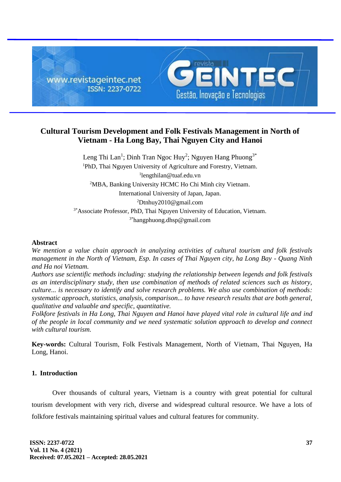

# **Cultural Tourism Development and Folk Festivals Management in North of Vietnam - Ha Long Bay, Thai Nguyen City and Hanoi**

Leng Thi Lan<sup>1</sup>; Dinh Tran Ngoc Huy<sup>2</sup>; Nguyen Hang Phuong<sup>3\*</sup> <sup>1</sup>PhD, Thai Nguyen University of Agriculture and Forestry, Vietnam. 1 lengthilan@tuaf.edu.vn <sup>2</sup>MBA, Banking University HCMC Ho Chi Minh city Vietnam. International University of Japan, Japan. <sup>2</sup>Dtnhuy2010@gmail.com <sup>3\*</sup>Associate Professor, PhD, Thai Nguyen University of Education, Vietnam. 3\*hangphuong.dhsp@gmail.com

### **Abstract**

*We mention a value chain approach in analyzing activities of cultural tourism and folk festivals management in the North of Vietnam, Esp. In cases of Thai Nguyen city, ha Long Bay - Quang Ninh and Ha noi Vietnam.*

*Authors use scientific methods including: studying the relationship between legends and folk festivals as an interdisciplinary study, then use combination of methods of related sciences such as history, culture... is necessary to identify and solve research problems. We also use combination of methods: systematic approach, statistics, analysis, comparison... to have research results that are both general, qualitative and valuable and specific, quantitative.*

*Folkfore festivals in Ha Long, Thai Nguyen and Hanoi have played vital role in cultural life and ind of the people in local community and we need systematic solution approach to develop and connect with cultural tourism.*

**Key-words:** Cultural Tourism, Folk Festivals Management, North of Vietnam, Thai Nguyen, Ha Long, Hanoi.

### **1. Introduction**

Over thousands of cultural years, Vietnam is a country with great potential for cultural tourism development with very rich, diverse and widespread cultural resource. We have a lots of folkfore festivals maintaining spiritual values and cultural features for community.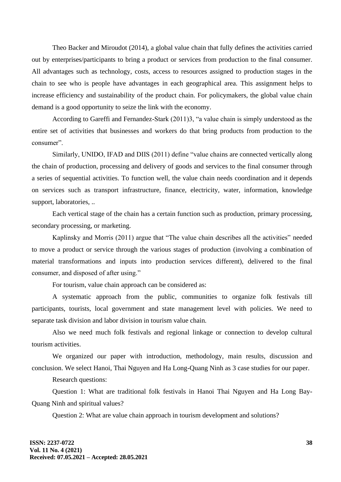Theo Backer and Miroudot (2014), a global value chain that fully defines the activities carried out by enterprises/participants to bring a product or services from production to the final consumer. All advantages such as technology, costs, access to resources assigned to production stages in the chain to see who is people have advantages in each geographical area. This assignment helps to increase efficiency and sustainability of the product chain. For policymakers, the global value chain demand is a good opportunity to seize the link with the economy.

According to Gareffi and Fernandez-Stark (2011)3, "a value chain is simply understood as the entire set of activities that businesses and workers do that bring products from production to the consumer".

Similarly, UNIDO, IFAD and DIIS (2011) define "value chains are connected vertically along the chain of production, processing and delivery of goods and services to the final consumer through a series of sequential activities. To function well, the value chain needs coordination and it depends on services such as transport infrastructure, finance, electricity, water, information, knowledge support, laboratories, ..

Each vertical stage of the chain has a certain function such as production, primary processing, secondary processing, or marketing.

Kaplinsky and Morris (2011) argue that "The value chain describes all the activities" needed to move a product or service through the various stages of production (involving a combination of material transformations and inputs into production services different), delivered to the final consumer, and disposed of after using."

For tourism, value chain approach can be considered as:

A systematic approach from the public, communities to organize folk festivals till participants, tourists, local government and state management level with policies. We need to separate task division and labor division in tourism value chain.

Also we need much folk festivals and regional linkage or connection to develop cultural tourism activities.

We organized our paper with introduction, methodology, main results, discussion and conclusion. We select Hanoi, Thai Nguyen and Ha Long-Quang Ninh as 3 case studies for our paper.

Research questions:

Question 1: What are traditional folk festivals in Hanoi Thai Nguyen and Ha Long Bay-Quang Ninh and spiritual values?

Question 2: What are value chain approach in tourism development and solutions?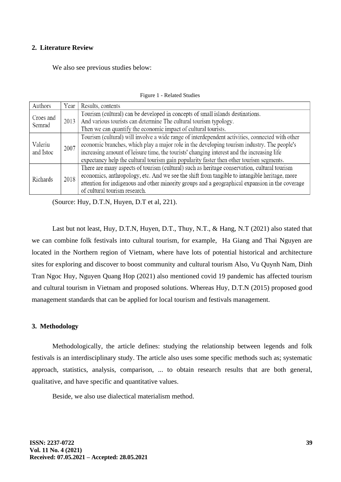### **2. Literature Review**

We also see previous studies below:

| Authors              | Year | Results, contents                                                                               |
|----------------------|------|-------------------------------------------------------------------------------------------------|
| Croes and<br>Semrad  | 2013 | Tourism (cultural) can be developed in concepts of small islands destinations.                  |
|                      |      | And various tourists can determine The cultural tourism typology.                               |
|                      |      | Then we can quantify the economic impact of cultural tourists.                                  |
| Valeriu<br>and Istoc | 2007 | Tourism (cultural) will involve a wide range of interdependent activities, connected with other |
|                      |      | economic branches, which play a major role in the developing tourism industry. The people's     |
|                      |      | increasing amount of leisure time, the tourists' changing interest and the increasing life      |
|                      |      | expectancy help the cultural tourism gain popularity faster then other tourism segments.        |
| Richards             | 2018 | There are many aspects of tourism (cultural) such as heritage conservation, cultural tourism    |
|                      |      | economics, anthropology, etc. And we see the shift from tangible to intangible heritage, more   |
|                      |      | attention for indigenous and other minority groups and a geographical expansion in the coverage |
|                      |      | of cultural tourism research.                                                                   |

Figure 1 - Related Studies

(Source: Huy, D.T.N, Huyen, D.T et al, 221).

Last but not least, Huy, D.T.N, Huyen, D.T., Thuy, N.T., & Hang, N.T (2021) also stated that we can combine folk festivals into cultural tourism, for example, Ha Giang and Thai Nguyen are located in the Northern region of Vietnam, where have lots of potential historical and architecture sites for exploring and discover to boost community and cultural tourism Also, Vu Quynh Nam, Dinh Tran Ngoc Huy, Nguyen Quang Hop (2021) also mentioned covid 19 pandemic has affected tourism and cultural tourism in Vietnam and proposed solutions. Whereas Huy, D.T.N (2015) proposed good management standards that can be applied for local tourism and festivals management.

### **3. Methodology**

Methodologically, the article defines: studying the relationship between legends and folk festivals is an interdisciplinary study. The article also uses some specific methods such as; systematic approach, statistics, analysis, comparison, ... to obtain research results that are both general, qualitative, and have specific and quantitative values.

Beside, we also use dialectical materialism method.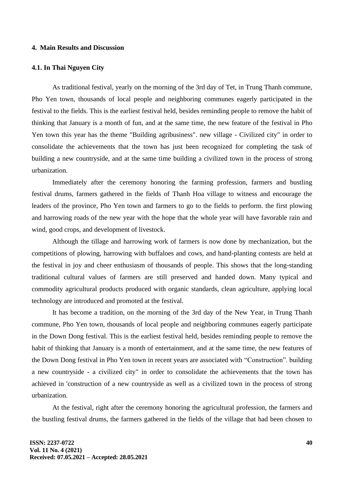#### **4. Main Results and Discussion**

#### **4.1. In Thai Nguyen City**

As traditional festival, yearly on the morning of the 3rd day of Tet, in Trung Thanh commune, Pho Yen town, thousands of local people and neighboring communes eagerly participated in the festival to the fields. This is the earliest festival held, besides reminding people to remove the habit of thinking that January is a month of fun, and at the same time, the new feature of the festival in Pho Yen town this year has the theme "Building agribusiness". new village - Civilized city" in order to consolidate the achievements that the town has just been recognized for completing the task of building a new countryside, and at the same time building a civilized town in the process of strong urbanization.

Immediately after the ceremony honoring the farming profession, farmers and bustling festival drums, farmers gathered in the fields of Thanh Hoa village to witness and encourage the leaders of the province, Pho Yen town and farmers to go to the fields to perform. the first plowing and harrowing roads of the new year with the hope that the whole year will have favorable rain and wind, good crops, and development of livestock.

Although the tillage and harrowing work of farmers is now done by mechanization, but the competitions of plowing, harrowing with buffaloes and cows, and hand-planting contests are held at the festival in joy and cheer enthusiasm of thousands of people. This shows that the long-standing traditional cultural values of farmers are still preserved and handed down. Many typical and commodity agricultural products produced with organic standards, clean agriculture, applying local technology are introduced and promoted at the festival.

It has become a tradition, on the morning of the 3rd day of the New Year, in Trung Thanh commune, Pho Yen town, thousands of local people and neighboring communes eagerly participate in the Down Dong festival. This is the earliest festival held, besides reminding people to remove the habit of thinking that January is a month of entertainment, and at the same time, the new features of the Down Dong festival in Pho Yen town in recent years are associated with "Construction". building a new countryside - a civilized city" in order to consolidate the achievements that the town has achieved in 'construction of a new countryside as well as a civilized town in the process of strong urbanization.

At the festival, right after the ceremony honoring the agricultural profession, the farmers and the bustling festival drums, the farmers gathered in the fields of the village that had been chosen to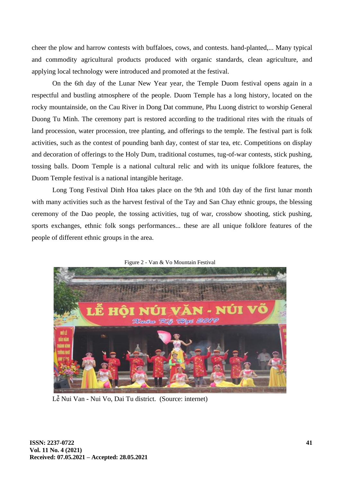cheer the plow and harrow contests with buffaloes, cows, and contests. hand-planted,... Many typical and commodity agricultural products produced with organic standards, clean agriculture, and applying local technology were introduced and promoted at the festival.

On the 6th day of the Lunar New Year year, the Temple Duom festival opens again in a respectful and bustling atmosphere of the people. Duom Temple has a long history, located on the rocky mountainside, on the Cau River in Dong Dat commune, Phu Luong district to worship General Duong Tu Minh. The ceremony part is restored according to the traditional rites with the rituals of land procession, water procession, tree planting, and offerings to the temple. The festival part is folk activities, such as the contest of pounding banh day, contest of star tea, etc. Competitions on display and decoration of offerings to the Holy Dum, traditional costumes, tug-of-war contests, stick pushing, tossing balls. Doom Temple is a national cultural relic and with its unique folklore features, the Duom Temple festival is a national intangible heritage.

Long Tong Festival Dinh Hoa takes place on the 9th and 10th day of the first lunar month with many activities such as the harvest festival of the Tay and San Chay ethnic groups, the blessing ceremony of the Dao people, the tossing activities, tug of war, crossbow shooting, stick pushing, sports exchanges, ethnic folk songs performances... these are all unique folklore features of the people of different ethnic groups in the area.



Figure 2 - Van & Vo Mountain Festival

Lễ Nui Van - Nui Vo, Dai Tu district. (Source: internet)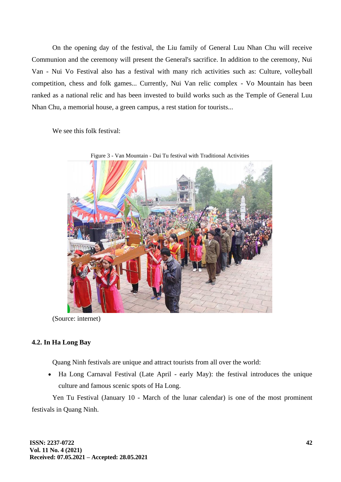On the opening day of the festival, the Liu family of General Luu Nhan Chu will receive Communion and the ceremony will present the General's sacrifice. In addition to the ceremony, Nui Van - Nui Vo Festival also has a festival with many rich activities such as: Culture, volleyball competition, chess and folk games... Currently, Nui Van relic complex - Vo Mountain has been ranked as a national relic and has been invested to build works such as the Temple of General Luu Nhan Chu, a memorial house, a green campus, a rest station for tourists...

We see this folk festival:



(Source: internet)

# **4.2. In Ha Long Bay**

Quang Ninh festivals are unique and attract tourists from all over the world:

• Ha Long Carnaval Festival (Late April - early May): the festival introduces the unique culture and famous scenic spots of Ha Long.

Yen Tu Festival (January 10 - March of the lunar calendar) is one of the most prominent festivals in Quang Ninh.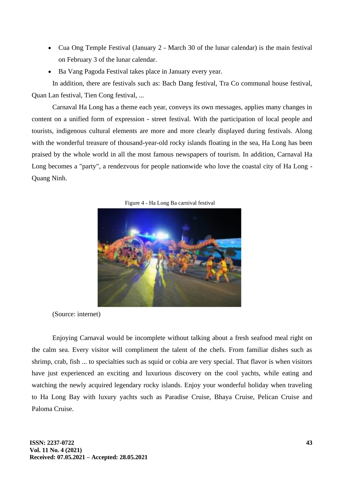- Cua Ong Temple Festival (January 2 March 30 of the lunar calendar) is the main festival on February 3 of the lunar calendar.
- Ba Vang Pagoda Festival takes place in January every year.

In addition, there are festivals such as: Bach Dang festival, Tra Co communal house festival, Quan Lan festival, Tien Cong festival, ...

Carnaval Ha Long has a theme each year, conveys its own messages, applies many changes in content on a unified form of expression - street festival. With the participation of local people and tourists, indigenous cultural elements are more and more clearly displayed during festivals. Along with the wonderful treasure of thousand-year-old rocky islands floating in the sea, Ha Long has been praised by the whole world in all the most famous newspapers of tourism. In addition, Carnaval Ha Long becomes a "party", a rendezvous for people nationwide who love the coastal city of Ha Long - Quang Ninh.

Figure 4 - Ha Long Ba carnival festival



(Source: internet)

Enjoying Carnaval would be incomplete without talking about a fresh seafood meal right on the calm sea. Every visitor will compliment the talent of the chefs. From familiar dishes such as shrimp, crab, fish ... to specialties such as squid or cobia are very special. That flavor is when visitors have just experienced an exciting and luxurious discovery on the cool yachts, while eating and watching the newly acquired legendary rocky islands. Enjoy your wonderful holiday when traveling to Ha Long Bay with luxury yachts such as Paradise Cruise, Bhaya Cruise, Pelican Cruise and Paloma Cruise.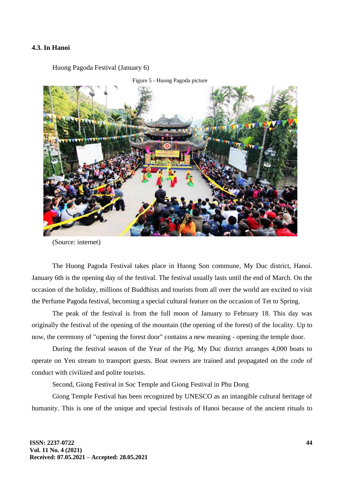### **4.3. In Hanoi**

Huong Pagoda Festival (January 6)



Figure 5 - Huong Pagoda picture

(Source: internet)

The Huong Pagoda Festival takes place in Huong Son commune, My Duc district, Hanoi. January 6th is the opening day of the festival. The festival usually lasts until the end of March. On the occasion of the holiday, millions of Buddhists and tourists from all over the world are excited to visit the Perfume Pagoda festival, becoming a special cultural feature on the occasion of Tet to Spring.

The peak of the festival is from the full moon of January to February 18. This day was originally the festival of the opening of the mountain (the opening of the forest) of the locality. Up to now, the ceremony of "opening the forest door" contains a new meaning - opening the temple door.

During the festival season of the Year of the Pig, My Duc district arranges 4,000 boats to operate on Yen stream to transport guests. Boat owners are trained and propagated on the code of conduct with civilized and polite tourists.

Second, Giong Festival in Soc Temple and Giong Festival in Phu Dong

Giong Temple Festival has been recognized by UNESCO as an intangible cultural heritage of humanity. This is one of the unique and special festivals of Hanoi because of the ancient rituals to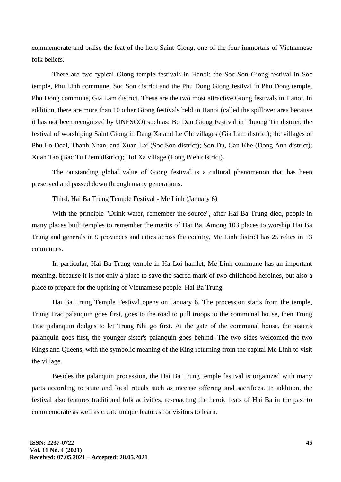commemorate and praise the feat of the hero Saint Giong, one of the four immortals of Vietnamese folk beliefs.

There are two typical Giong temple festivals in Hanoi: the Soc Son Giong festival in Soc temple, Phu Linh commune, Soc Son district and the Phu Dong Giong festival in Phu Dong temple, Phu Dong commune, Gia Lam district. These are the two most attractive Giong festivals in Hanoi. In addition, there are more than 10 other Giong festivals held in Hanoi (called the spillover area because it has not been recognized by UNESCO) such as: Bo Dau Giong Festival in Thuong Tin district; the festival of worshiping Saint Giong in Dang Xa and Le Chi villages (Gia Lam district); the villages of Phu Lo Doai, Thanh Nhan, and Xuan Lai (Soc Son district); Son Du, Can Khe (Dong Anh district); Xuan Tao (Bac Tu Liem district); Hoi Xa village (Long Bien district).

The outstanding global value of Giong festival is a cultural phenomenon that has been preserved and passed down through many generations.

Third, Hai Ba Trung Temple Festival - Me Linh (January 6)

With the principle "Drink water, remember the source", after Hai Ba Trung died, people in many places built temples to remember the merits of Hai Ba. Among 103 places to worship Hai Ba Trung and generals in 9 provinces and cities across the country, Me Linh district has 25 relics in 13 communes.

In particular, Hai Ba Trung temple in Ha Loi hamlet, Me Linh commune has an important meaning, because it is not only a place to save the sacred mark of two childhood heroines, but also a place to prepare for the uprising of Vietnamese people. Hai Ba Trung.

Hai Ba Trung Temple Festival opens on January 6. The procession starts from the temple, Trung Trac palanquin goes first, goes to the road to pull troops to the communal house, then Trung Trac palanquin dodges to let Trung Nhi go first. At the gate of the communal house, the sister's palanquin goes first, the younger sister's palanquin goes behind. The two sides welcomed the two Kings and Queens, with the symbolic meaning of the King returning from the capital Me Linh to visit the village.

Besides the palanquin procession, the Hai Ba Trung temple festival is organized with many parts according to state and local rituals such as incense offering and sacrifices. In addition, the festival also features traditional folk activities, re-enacting the heroic feats of Hai Ba in the past to commemorate as well as create unique features for visitors to learn.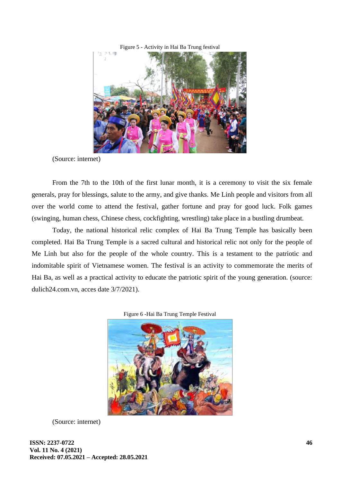

(Source: internet)

From the 7th to the 10th of the first lunar month, it is a ceremony to visit the six female generals, pray for blessings, salute to the army, and give thanks. Me Linh people and visitors from all over the world come to attend the festival, gather fortune and pray for good luck. Folk games (swinging, human chess, Chinese chess, cockfighting, wrestling) take place in a bustling drumbeat.

Today, the national historical relic complex of Hai Ba Trung Temple has basically been completed. Hai Ba Trung Temple is a sacred cultural and historical relic not only for the people of Me Linh but also for the people of the whole country. This is a testament to the patriotic and indomitable spirit of Vietnamese women. The festival is an activity to commemorate the merits of Hai Ba, as well as a practical activity to educate the patriotic spirit of the young generation. (source: dulich24.com.vn, acces date 3/7/2021).





(Source: internet)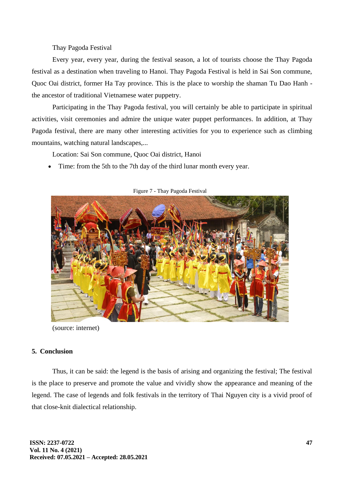Thay Pagoda Festival

Every year, every year, during the festival season, a lot of tourists choose the Thay Pagoda festival as a destination when traveling to Hanoi. Thay Pagoda Festival is held in Sai Son commune, Quoc Oai district, former Ha Tay province. This is the place to worship the shaman Tu Dao Hanh the ancestor of traditional Vietnamese water puppetry.

Participating in the Thay Pagoda festival, you will certainly be able to participate in spiritual activities, visit ceremonies and admire the unique water puppet performances. In addition, at Thay Pagoda festival, there are many other interesting activities for you to experience such as climbing mountains, watching natural landscapes,...

Location: Sai Son commune, Quoc Oai district, Hanoi

• Time: from the 5th to the 7th day of the third lunar month every year.



Figure 7 - Thay Pagoda Festival

(source: internet)

# **5. Conclusion**

Thus, it can be said: the legend is the basis of arising and organizing the festival; The festival is the place to preserve and promote the value and vividly show the appearance and meaning of the legend. The case of legends and folk festivals in the territory of Thai Nguyen city is a vivid proof of that close-knit dialectical relationship.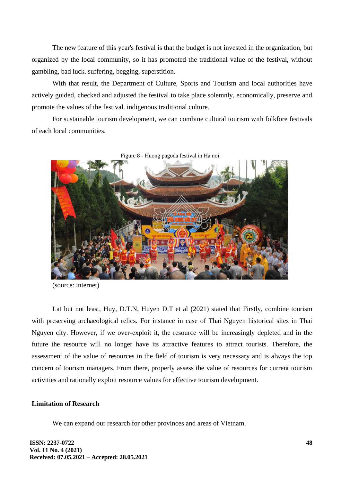The new feature of this year's festival is that the budget is not invested in the organization, but organized by the local community, so it has promoted the traditional value of the festival, without gambling, bad luck. suffering, begging, superstition.

With that result, the Department of Culture, Sports and Tourism and local authorities have actively guided, checked and adjusted the festival to take place solemnly, economically, preserve and promote the values of the festival. indigenous traditional culture.

For sustainable tourism development, we can combine cultural tourism with folkfore festivals of each local communities.



(source: internet)

Lat but not least, Huy, D.T.N, Huyen D.T et al (2021) stated that Firstly, combine tourism with preserving archaeological relics. For instance in case of Thai Nguyen historical sites in Thai Nguyen city. However, if we over-exploit it, the resource will be increasingly depleted and in the future the resource will no longer have its attractive features to attract tourists. Therefore, the assessment of the value of resources in the field of tourism is very necessary and is always the top concern of tourism managers. From there, properly assess the value of resources for current tourism activities and rationally exploit resource values for effective tourism development.

### **Limitation of Research**

We can expand our research for other provinces and areas of Vietnam.

**ISSN: 2237-0722 Vol. 11 No. 4 (2021) Received: 07.05.2021 – Accepted: 28.05.2021**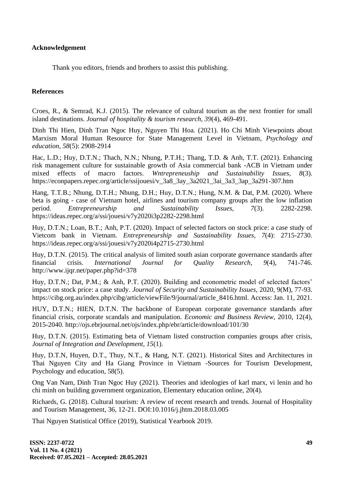**Acknowledgement**

Thank you editors, friends and brothers to assist this publishing.

## **References**

Croes, R., & Semrad, K.J. (2015). The relevance of cultural tourism as the next frontier for small island destinations. *Journal of hospitality & tourism research, 39*(4), 469-491.

Dinh Thi Hien, Dinh Tran Ngoc Huy, Nguyen Thi Hoa. (2021). Ho Chi Minh Viewpoints about Marxism Moral Human Resource for State Management Level in Vietnam, *Psychology and education, 58*(5): 2908-2914

Hac, L.D.; Huy, D.T.N.; Thach, N.N.; Nhung, P.T.H.; Thang, T.D. & Anh, T.T. (2021). Enhancing risk management culture for sustainable growth of Asia commercial bank -ACB in Vietnam under mixed effects of macro factors. *Wntrepreneuship and Sustainability Issues, 8*(3). https://econpapers.repec.org/article/ssijouesi/v\_3a8\_3ay\_3a2021\_3ai\_3a3\_3ap\_3a291-307.htm

Hang, T.T.B.; Nhung, D.T.H.; Nhung, D.H.; Huy, D.T.N.; Hung, N.M. & Dat, P.M. (2020). Where beta is going - case of Vietnam hotel, airlines and tourism company groups after the low inflation period. *Entrepreneurship and Sustainability Issues, 7*(3). 2282-2298. https://ideas.repec.org/a/ssi/jouesi/v7y2020i3p2282-2298.html

Huy, D.T.N.; Loan, B.T.; Anh, P.T. (2020). Impact of selected factors on stock price: a case study of Vietcom bank in Vietnam. *Entrepreneurship and Sustainability Issues, 7*(4): 2715-2730. https://ideas.repec.org/a/ssi/jouesi/v7y2020i4p2715-2730.html

Huy, D.T.N. (2015). The critical analysis of limited south asian corporate governance standards after financial crisis. *International Journal for Quality Research, 9*(4), 741-746. http://www.ijqr.net/paper.php?id=378

Huy, D.T.N.; Dat, P.M.; & Anh, P.T. (2020). Building and econometric model of selected factors' impact on stock price: a case study. *Journal of Security and Sustainability Issues,* 2020, 9(M), 77-93. https://cibg.org.au/index.php/cibg/article/viewFile/9/journal/article\_8416.html. Access: Jan. 11, 2021.

HUY, D.T.N.; HIEN, D.T.N. The backbone of European corporate governance standards after financial crisis, corporate scandals and manipulation. *Economic and Business Review,* 2010, 12(4), 2015-2040. http://ojs.ebrjournal.net/ojs/index.php/ebr/article/download/101/30

Huy, D.T.N. (2015). Estimating beta of Vietnam listed construction companies groups after crisis, *Journal of Integration and Development, 15*(1).

Huy, D.T.N, Huyen, D.T., Thuy, N.T., & Hang, N.T. (2021). Historical Sites and Architectures in Thai Nguyen City and Ha Giang Province in Vietnam -Sources for Tourism Development, Psychology and education, 58(5).

Ong Van Nam, Dinh Tran Ngoc Huy (2021). Theories and ideologies of karl marx, vi lenin and ho chi minh on building government organization, Elementary education online, 20(4).

Richards, G. (2018). Cultural tourism: A review of recent research and trends. Journal of Hospitality and Tourism Management, 36, 12-21. DOI:10.1016/j.jhtm.2018.03.005

Thai Nguyen Statistical Office (2019), Statistical Yearbook 2019.